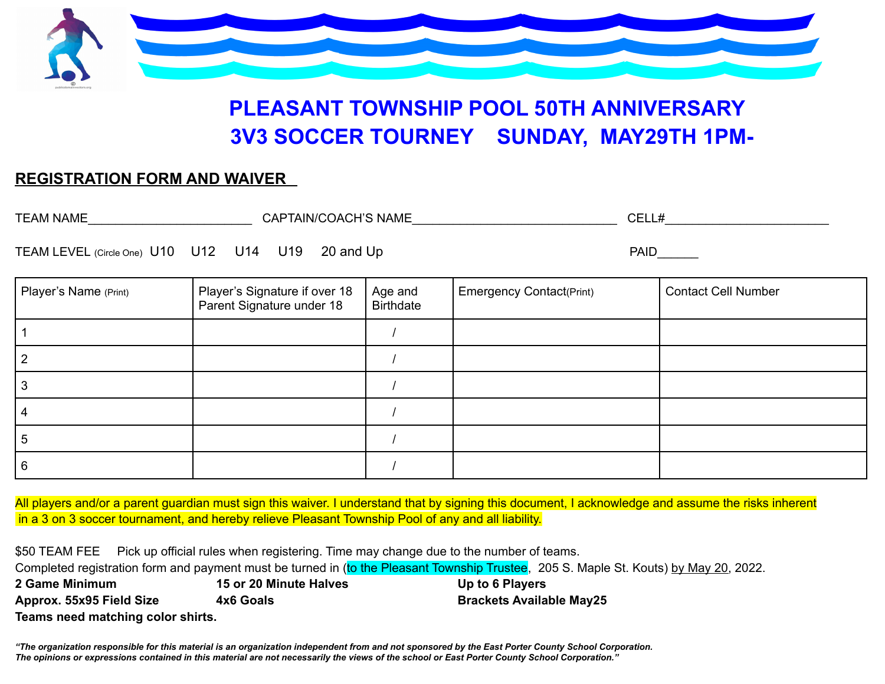

# **PLEASANT TOWNSHIP POOL 50TH ANNIVERSARY 3V3 SOCCER TOURNEY SUNDAY, MAY29TH 1PM-**

## **REGISTRATION FORM AND WAIVER**

| <b>TEAM NAME</b>                                     | CAPTAIN/COACH'S NAME                                       |                             | CELL#                           |                            |
|------------------------------------------------------|------------------------------------------------------------|-----------------------------|---------------------------------|----------------------------|
| 20 and Up<br>TEAM LEVEL (Circle One) U10 U12 U14 U19 |                                                            |                             | <b>PAID</b>                     |                            |
| Player's Name (Print)                                | Player's Signature if over 18<br>Parent Signature under 18 | Age and<br><b>Birthdate</b> | <b>Emergency Contact(Print)</b> | <b>Contact Cell Number</b> |
|                                                      |                                                            |                             |                                 |                            |
|                                                      |                                                            |                             |                                 |                            |
| 3                                                    |                                                            |                             |                                 |                            |
|                                                      |                                                            |                             |                                 |                            |
| 5                                                    |                                                            |                             |                                 |                            |
| 6                                                    |                                                            |                             |                                 |                            |

All players and/or a parent guardian must sign this waiver. I understand that by signing this document, I acknowledge and assume the risks inherent in a 3 on 3 soccer tournament, and hereby relieve Pleasant Township Pool of any and all liability.

\$50 TEAM FEE Pick up official rules when registering. Time may change due to the number of teams. Completed registration form and payment must be turned in (to the Pleasant Township Trustee, 205 S. Maple St. Kouts) by May 20, 2022. **2 Game Minimum 15 or 20 Minute Halves Up to 6 Players**

**Approx. 55x95 Field Size 4x6 Goals Brackets Available May25 Teams need matching color shirts.**

"The organization responsible for this material is an organization independent from and not sponsored by the East Porter County School Corporation. The opinions or expressions contained in this material are not necessarily the views of the school or East Porter County School Corporation."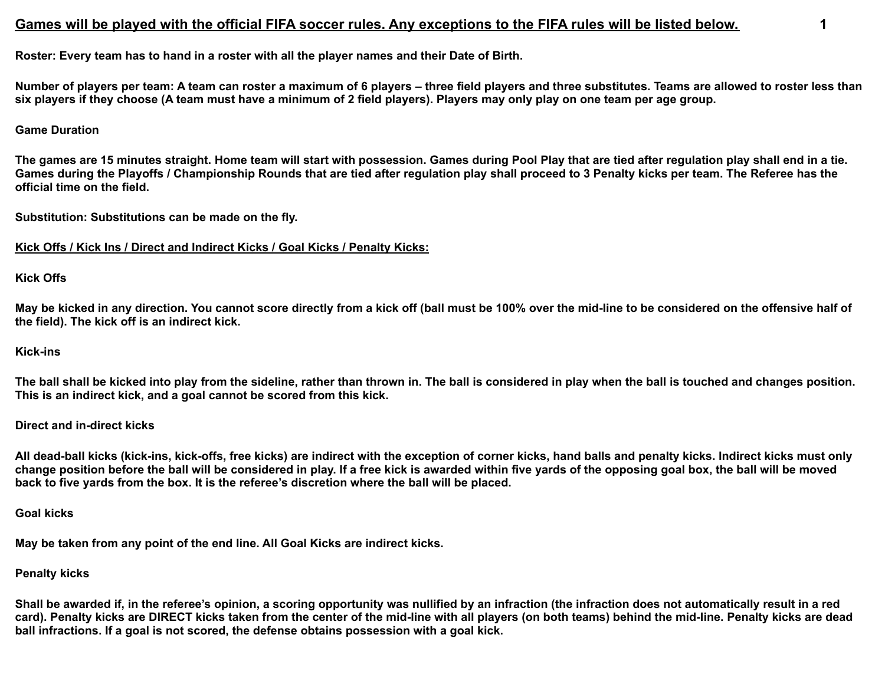### Games will be played with the official FIFA soccer rules. Any exceptions to the FIFA rules will be listed below.

**Roster: Every team has to hand in a roster with all the player names and their Date of Birth.**

**Number of players per team: A team can roster a maximum of 6 players – three field players and three substitutes. Teams are allowed to roster less than six players if they choose (A team must have a minimum of 2 field players). Players may only play on one team per age group.**

#### **Game Duration**

**The games are 15 minutes straight. Home team will start with possession. Games during Pool Play that are tied after regulation play shall end in a tie. Games during the Playoffs / Championship Rounds that are tied after regulation play shall proceed to 3 Penalty kicks per team. The Referee has the official time on the field.**

**Substitution: Substitutions can be made on the fly.**

#### **Kick Offs / Kick Ins / Direct and Indirect Kicks / Goal Kicks / Penalty Kicks:**

#### **Kick Offs**

**May be kicked in any direction. You cannot score directly from a kick off (ball must be 100% over the mid-line to be considered on the offensive half of the field). The kick off is an indirect kick.**

#### **Kick-ins**

**The ball shall be kicked into play from the sideline, rather than thrown in. The ball is considered in play when the ball is touched and changes position. This is an indirect kick, and a goal cannot be scored from this kick.**

#### **Direct and in-direct kicks**

**All dead-ball kicks (kick-ins, kick-offs, free kicks) are indirect with the exception of corner kicks, hand balls and penalty kicks. Indirect kicks must only change position before the ball will be considered in play. If a free kick is awarded within five yards of the opposing goal box, the ball will be moved back to five yards from the box. It is the referee's discretion where the ball will be placed.**

#### **Goal kicks**

**May be taken from any point of the end line. All Goal Kicks are indirect kicks.**

#### **Penalty kicks**

**Shall be awarded if, in the referee's opinion, a scoring opportunity was nullified by an infraction (the infraction does not automatically result in a red card). Penalty kicks are DIRECT kicks taken from the center of the mid-line with all players (on both teams) behind the mid-line. Penalty kicks are dead ball infractions. If a goal is not scored, the defense obtains possession with a goal kick.**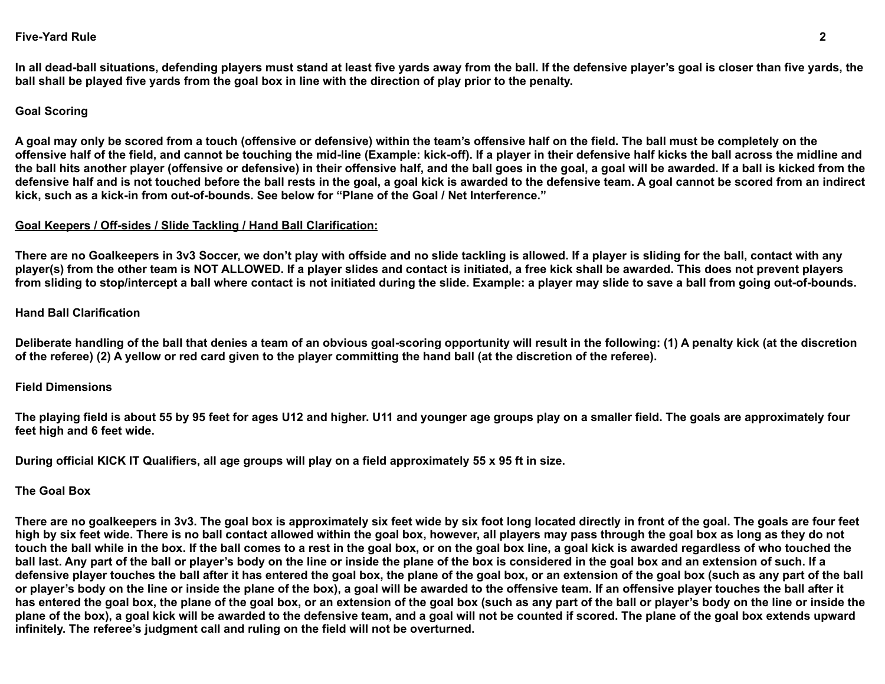#### **Five-Yard Rule 2**

**In all dead-ball situations, defending players must stand at least five yards away from the ball. If the defensive player's goal is closer than five yards, the ball shall be played five yards from the goal box in line with the direction of play prior to the penalty.**

#### **Goal Scoring**

**A goal may only be scored from a touch (offensive or defensive) within the team's offensive half on the field. The ball must be completely on the offensive half of the field, and cannot be touching the mid-line (Example: kick-off). If a player in their defensive half kicks the ball across the midline and the ball hits another player (offensive or defensive) in their offensive half, and the ball goes in the goal, a goal will be awarded. If a ball is kicked from the defensive half and is not touched before the ball rests in the goal, a goal kick is awarded to the defensive team. A goal cannot be scored from an indirect kick, such as a kick-in from out-of-bounds. See below for "Plane of the Goal / Net Interference."**

#### **Goal Keepers / Off-sides / Slide Tackling / Hand Ball Clarification:**

**There are no Goalkeepers in 3v3 Soccer, we don't play with offside and no slide tackling is allowed. If a player is sliding for the ball, contact with any player(s) from the other team is NOT ALLOWED. If a player slides and contact is initiated, a free kick shall be awarded. This does not prevent players from sliding to stop/intercept a ball where contact is not initiated during the slide. Example: a player may slide to save a ball from going out-of-bounds.**

#### **Hand Ball Clarification**

**Deliberate handling of the ball that denies a team of an obvious goal-scoring opportunity will result in the following: (1) A penalty kick (at the discretion of the referee) (2) A yellow or red card given to the player committing the hand ball (at the discretion of the referee).**

#### **Field Dimensions**

**The playing field is about 55 by 95 feet for ages U12 and higher. U11 and younger age groups play on a smaller field. The goals are approximately four feet high and 6 feet wide.**

**During official KICK IT Qualifiers, all age groups will play on a field approximately 55 x 95 ft in size.**

#### **The Goal Box**

**There are no goalkeepers in 3v3. The goal box is approximately six feet wide by six foot long located directly in front of the goal. The goals are four feet high by six feet wide. There is no ball contact allowed within the goal box, however, all players may pass through the goal box as long as they do not touch the ball while in the box. If the ball comes to a rest in the goal box, or on the goal box line, a goal kick is awarded regardless of who touched the ball last. Any part of the ball or player's body on the line or inside the plane of the box is considered in the goal box and an extension of such. If a defensive player touches the ball after it has entered the goal box, the plane of the goal box, or an extension of the goal box (such as any part of the ball or player's body on the line or inside the plane of the box), a goal will be awarded to the offensive team. If an offensive player touches the ball after it has entered the goal box, the plane of the goal box, or an extension of the goal box (such as any part of the ball or player's body on the line or inside the plane of the box), a goal kick will be awarded to the defensive team, and a goal will not be counted if scored. The plane of the goal box extends upward infinitely. The referee's judgment call and ruling on the field will not be overturned.**